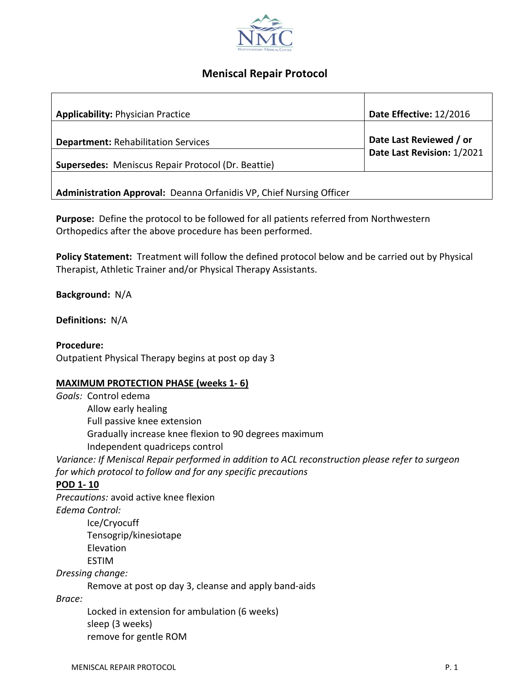

# **Meniscal Repair Protocol**

| <b>Applicability: Physician Practice</b>                                                                | Date Effective: 12/2016                               |
|---------------------------------------------------------------------------------------------------------|-------------------------------------------------------|
| <b>Department: Rehabilitation Services</b><br><b>Supersedes:</b> Meniscus Repair Protocol (Dr. Beattie) | Date Last Reviewed / or<br>Date Last Revision: 1/2021 |
|                                                                                                         |                                                       |
| Administration Approval: Deanna Orfanidis VP, Chief Nursing Officer                                     |                                                       |

**Purpose:** Define the protocol to be followed for all patients referred from Northwestern Orthopedics after the above procedure has been performed.

**Policy Statement:** Treatment will follow the defined protocol below and be carried out by Physical Therapist, Athletic Trainer and/or Physical Therapy Assistants.

**Background:** N/A

**Definitions:** N/A

**Procedure:**

Outpatient Physical Therapy begins at post op day 3

#### **MAXIMUM PROTECTION PHASE (weeks 1- 6)**

*Goals:* Control edema Allow early healing Full passive knee extension Gradually increase knee flexion to 90 degrees maximum Independent quadriceps control *Variance: If Meniscal Repair performed in addition to ACL reconstruction please refer to surgeon for which protocol to follow and for any specific precautions* **POD 1- 10**

*Precautions:* avoid active knee flexion *Edema Control:* Ice/Cryocuff Tensogrip/kinesiotape Elevation ESTIM *Dressing change:*

Remove at post op day 3, cleanse and apply band-aids

*Brace:*

Locked in extension for ambulation (6 weeks) sleep (3 weeks) remove for gentle ROM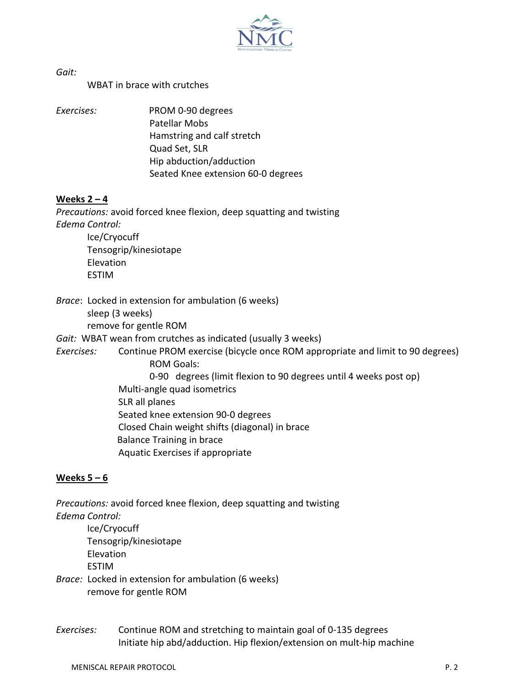

*Gait:*

WBAT in brace with crutches

*Exercises:* PROM 0-90 degrees Patellar Mobs Hamstring and calf stretch Quad Set, SLR Hip abduction/adduction Seated Knee extension 60-0 degrees

#### **Weeks 2 – 4**

*Precautions:* avoid forced knee flexion, deep squatting and twisting *Edema Control:* Ice/Cryocuff

Tensogrip/kinesiotape Elevation ESTIM

*Brace*: Locked in extension for ambulation (6 weeks)

sleep (3 weeks)

remove for gentle ROM

*Gait:* WBAT wean from crutches as indicated (usually 3 weeks)

*Exercises:* Continue PROM exercise (bicycle once ROM appropriate and limit to 90 degrees) ROM Goals:

- 0-90 degrees (limit flexion to 90 degrees until 4 weeks post op)
- Multi-angle quad isometrics

SLR all planes

Seated knee extension 90-0 degrees

Closed Chain weight shifts (diagonal) in brace

Balance Training in brace

Aquatic Exercises if appropriate

## **Weeks 5 – 6**

*Precautions:* avoid forced knee flexion, deep squatting and twisting *Edema Control:*

Ice/Cryocuff Tensogrip/kinesiotape Elevation

ESTIM

- *Brace:* Locked in extension for ambulation (6 weeks) remove for gentle ROM
- *Exercises:* Continue ROM and stretching to maintain goal of 0-135 degrees Initiate hip abd/adduction. Hip flexion/extension on mult-hip machine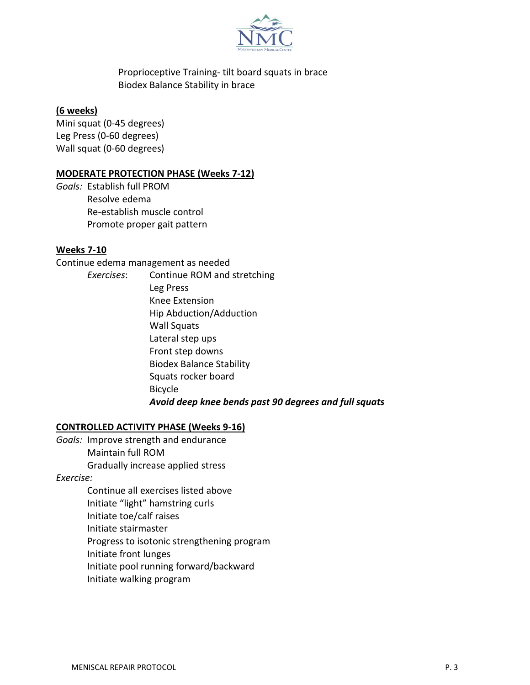

Proprioceptive Training- tilt board squats in brace Biodex Balance Stability in brace

### **(6 weeks)**

Mini squat (0-45 degrees) Leg Press (0-60 degrees) Wall squat (0-60 degrees)

### **MODERATE PROTECTION PHASE (Weeks 7-12)**

*Goals:* Establish full PROM Resolve edema Re-establish muscle control Promote proper gait pattern

## **Weeks 7-10**

Continue edema management as needed

*Exercises*: Continue ROM and stretching Leg Press Knee Extension Hip Abduction/Adduction Wall Squats Lateral step ups Front step downs Biodex Balance Stability Squats rocker board Bicycle *Avoid deep knee bends past 90 degrees and full squats*

#### **CONTROLLED ACTIVITY PHASE (Weeks 9-16)**

- *Goals:* Improve strength and endurance
	- Maintain full ROM Gradually increase applied stress

*Exercise:*

Continue all exercises listed above Initiate "light" hamstring curls Initiate toe/calf raises Initiate stairmaster Progress to isotonic strengthening program Initiate front lunges Initiate pool running forward/backward Initiate walking program